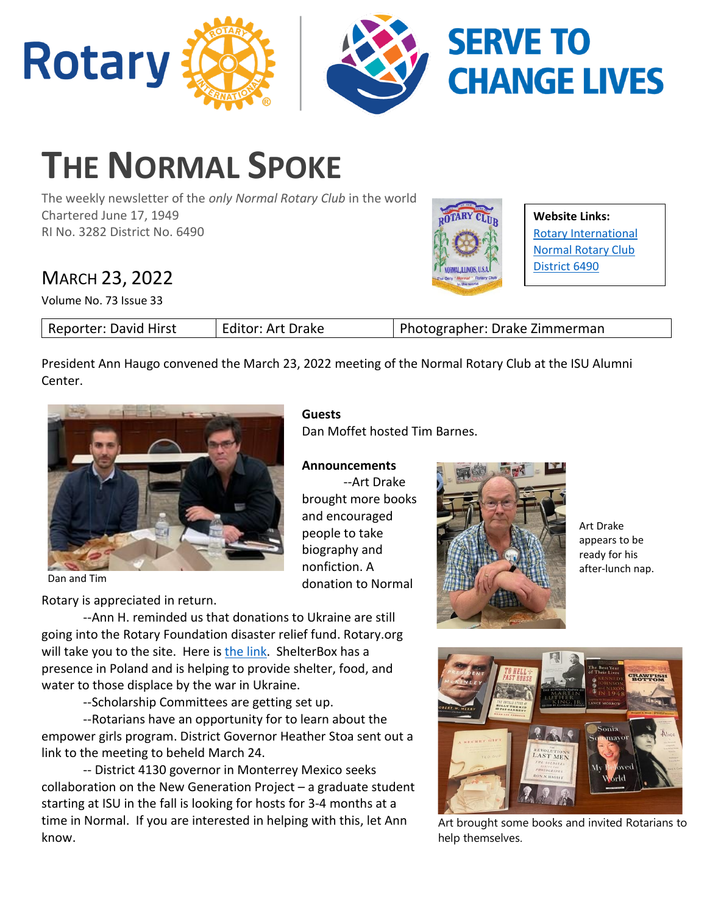

# **THE NORMAL SPOKE**

The weekly newsletter of the *only Normal Rotary Club* in the world Chartered June 17, 1949 RI No. 3282 District No. 6490

## MARCH 23, 2022

Volume No. 73 Issue 33



**Website Links:** Rotary International Normal Rotary Club District 6490

| Editor: Art Drake<br>Reporter: David Hirst | Photographer: Drake Zimmerman |
|--------------------------------------------|-------------------------------|
|--------------------------------------------|-------------------------------|

President Ann Haugo convened the March 23, 2022 meeting of the Normal Rotary Club at the ISU Alumni Center.

**Announcements**

brought more books and encouraged people to take biography and nonfiction. A

donation to Normal

Dan Moffet hosted Tim Barnes.

--Art Drake

**Guests**



Dan and Tim

Rotary is appreciated in return.

--Ann H. reminded us that donations to Ukraine are still going into the Rotary Foundation disaster relief fund. Rotary.org will take you to the site. Here i[s the link.](https://my.rotary.org/en/disaster-response-fund) ShelterBox has a presence in Poland and is helping to provide shelter, food, and water to those displace by the war in Ukraine.

--Scholarship Committees are getting set up.

--Rotarians have an opportunity for to learn about the empower girls program. District Governor Heather Stoa sent out a link to the meeting to beheld March 24.

-- District 4130 governor in Monterrey Mexico seeks collaboration on the New Generation Project – a graduate student starting at ISU in the fall is looking for hosts for 3-4 months at a time in Normal. If you are interested in helping with this, let Ann know.



Art Drake appears to be ready for his after-lunch nap.



Art brought some books and invited Rotarians to help themselves.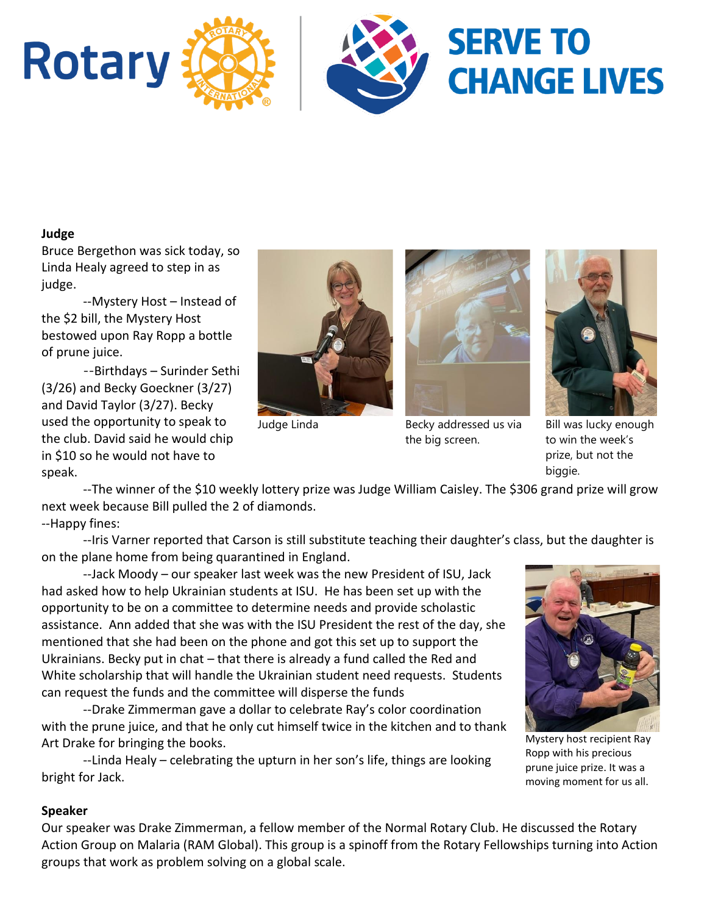

#### **Judge**

Bruce Bergethon was sick today, so Linda Healy agreed to step in as judge.

--Mystery Host – Instead of the \$2 bill, the Mystery Host bestowed upon Ray Ropp a bottle of prune juice.

--Birthdays – Surinder Sethi (3/26) and Becky Goeckner (3/27) and David Taylor (3/27). Becky used the opportunity to speak to the club. David said he would chip in \$10 so he would not have to speak.





Judge Linda Becky addressed us via the big screen.



Bill was lucky enough to win the week's prize, but not the biggie.

--The winner of the \$10 weekly lottery prize was Judge William Caisley. The \$306 grand prize will grow next week because Bill pulled the 2 of diamonds.

--Happy fines:

--Iris Varner reported that Carson is still substitute teaching their daughter's class, but the daughter is on the plane home from being quarantined in England.

--Jack Moody – our speaker last week was the new President of ISU, Jack had asked how to help Ukrainian students at ISU. He has been set up with the opportunity to be on a committee to determine needs and provide scholastic assistance. Ann added that she was with the ISU President the rest of the day, she mentioned that she had been on the phone and got this set up to support the Ukrainians. Becky put in chat – that there is already a fund called the Red and White scholarship that will handle the Ukrainian student need requests. Students can request the funds and the committee will disperse the funds

--Drake Zimmerman gave a dollar to celebrate Ray's color coordination with the prune juice, and that he only cut himself twice in the kitchen and to thank Art Drake for bringing the books.

--Linda Healy – celebrating the upturn in her son's life, things are looking bright for Jack.



Mystery host recipient Ray Ropp with his precious prune juice prize. It was a moving moment for us all.

#### **Speaker**

Our speaker was Drake Zimmerman, a fellow member of the Normal Rotary Club. He discussed the Rotary Action Group on Malaria (RAM Global). This group is a spinoff from the Rotary Fellowships turning into Action groups that work as problem solving on a global scale.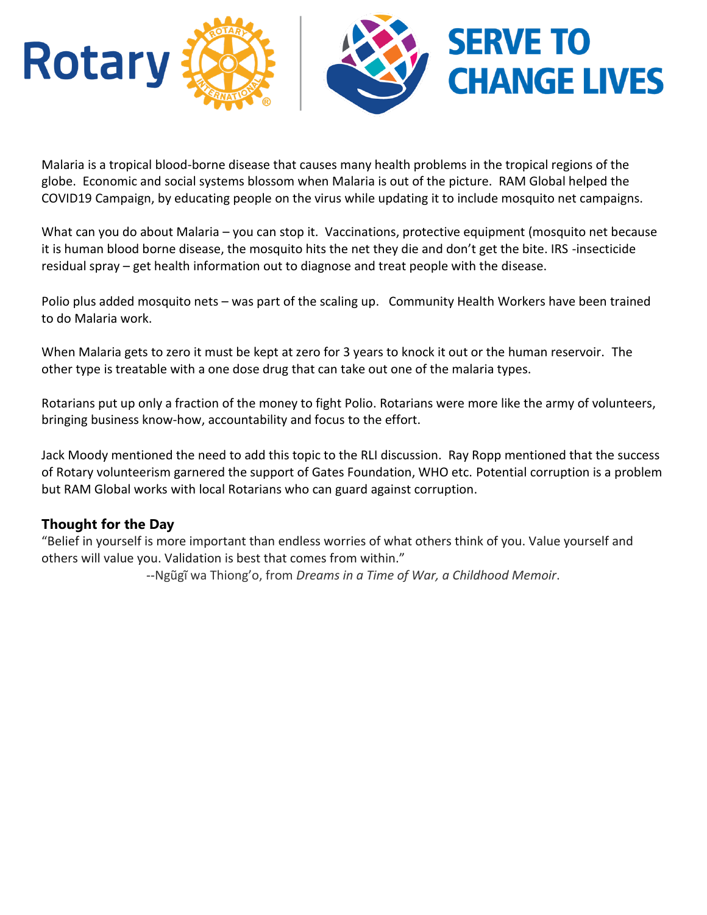

Malaria is a tropical blood-borne disease that causes many health problems in the tropical regions of the globe. Economic and social systems blossom when Malaria is out of the picture. RAM Global helped the COVID19 Campaign, by educating people on the virus while updating it to include mosquito net campaigns.

What can you do about Malaria – you can stop it. Vaccinations, protective equipment (mosquito net because it is human blood borne disease, the mosquito hits the net they die and don't get the bite. IRS -insecticide residual spray – get health information out to diagnose and treat people with the disease.

Polio plus added mosquito nets – was part of the scaling up. Community Health Workers have been trained to do Malaria work.

When Malaria gets to zero it must be kept at zero for 3 years to knock it out or the human reservoir. The other type is treatable with a one dose drug that can take out one of the malaria types.

Rotarians put up only a fraction of the money to fight Polio. Rotarians were more like the army of volunteers, bringing business know-how, accountability and focus to the effort.

Jack Moody mentioned the need to add this topic to the RLI discussion. Ray Ropp mentioned that the success of Rotary volunteerism garnered the support of Gates Foundation, WHO etc. Potential corruption is a problem but RAM Global works with local Rotarians who can guard against corruption.

### **Thought for the Day**

"Belief in yourself is more important than endless worries of what others think of you. Value yourself and others will value you. Validation is best that comes from within."

--Ngũgĩ wa Thiong'o, from *Dreams in a Time of War, a Childhood Memoir*.